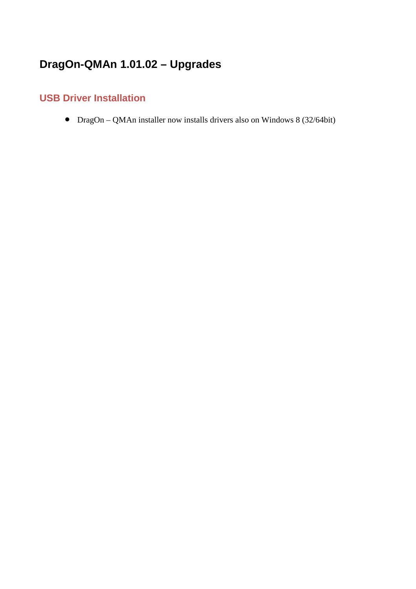# **DragOn-QMAn 1.01.02 – Upgrades**

#### **USB Driver Installation**

• DragOn – QMAn installer now installs drivers also on Windows 8 (32/64bit)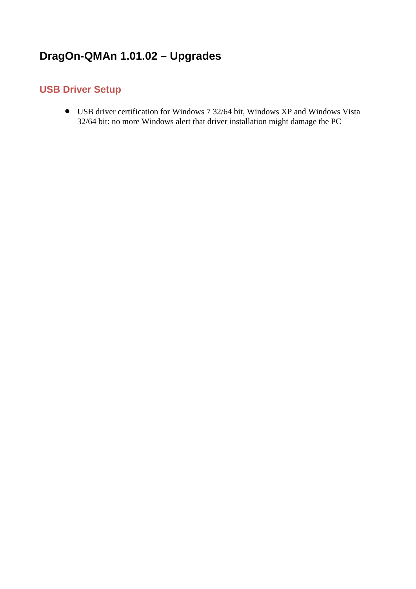# **DragOn-QMAn 1.01.02 – Upgrades**

#### **USB Driver Setup**

• USB driver certification for Windows 7 32/64 bit, Windows XP and Windows Vista 32/64 bit: no more Windows alert that driver installation might damage the PC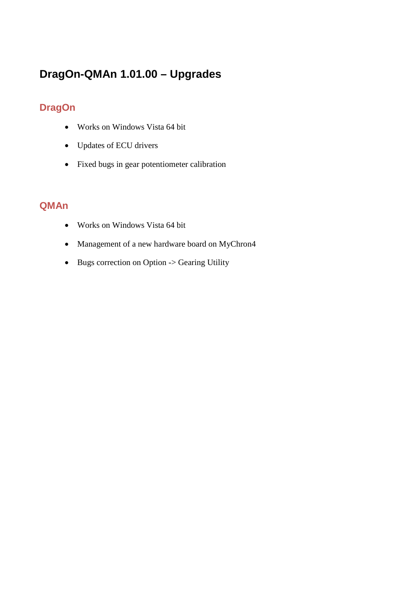# **DragOn-QMAn 1.01.00 – Upgrades**

### **DragOn**

- Works on Windows Vista 64 bit
- Updates of ECU drivers
- Fixed bugs in gear potentiometer calibration

#### **QMAn**

- Works on Windows Vista 64 bit
- Management of a new hardware board on MyChron4
- Bugs correction on Option -> Gearing Utility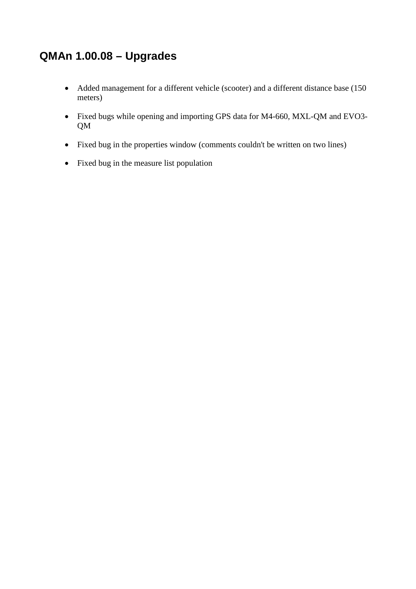## **QMAn 1.00.08 – Upgrades**

- Added management for a different vehicle (scooter) and a different distance base (150 meters)
- Fixed bugs while opening and importing GPS data for M4-660, MXL-QM and EVO3- QM
- Fixed bug in the properties window (comments couldn't be written on two lines)
- Fixed bug in the measure list population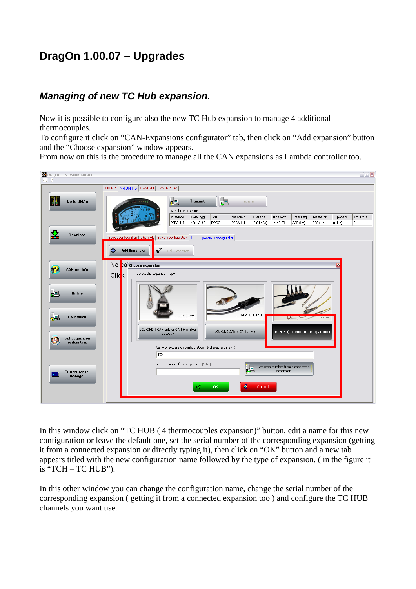## **DragOn 1.00.07 – Upgrades**

#### *Managing of new TC Hub expansion.*

Now it is possible to configure also the new TC Hub expansion to manage 4 additional thermocouples.

To configure it click on "CAN-Expansions configurator" tab, then click on "Add expansion" button and the "Choose expansion" window appears.

From now on this is the procedure to manage all the CAN expansions as Lambda controller too.



In this window click on "TC HUB ( 4 thermocouples expansion)" button, edit a name for this new configuration or leave the default one, set the serial number of the corresponding expansion (getting it from a connected expansion or directly typing it), then click on "OK" button and a new tab appears titled with the new configuration name followed by the type of expansion. ( in the figure it is "TCH – TC HUB").

In this other window you can change the configuration name, change the serial number of the corresponding expansion ( getting it from a connected expansion too ) and configure the TC HUB channels you want use.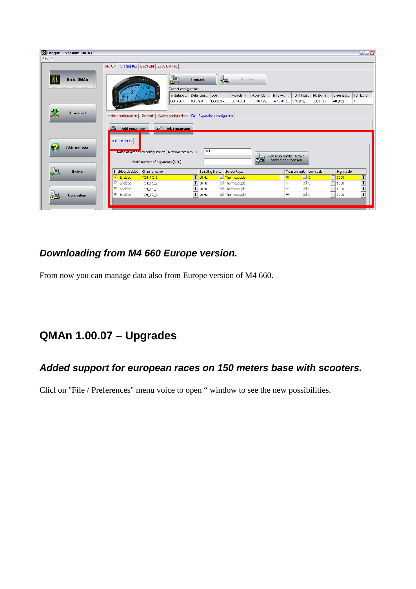| DragOn - version: 1.00.07 |                                                                                      |                          |                               |                                   | $\Box$ $X$                          |
|---------------------------|--------------------------------------------------------------------------------------|--------------------------|-------------------------------|-----------------------------------|-------------------------------------|
| File ?                    |                                                                                      |                          |                               |                                   |                                     |
|                           | MxI QM MxI QM Pro Evo3 QM   Evo3 QM Pro                                              |                          |                               |                                   |                                     |
|                           |                                                                                      |                          |                               |                                   |                                     |
| Go to QMAn                |                                                                                      | ŁB<br><b>Transmit</b>    | 起<br>Receive                  |                                   |                                     |
|                           |                                                                                      | Current configuration    |                               |                                   |                                     |
|                           |                                                                                      | Installatio<br>Data logg | Ecu<br>Vehicle n<br>Available | Total freq<br>Time with           | Master fr<br>Expansio<br>Tot. Expa  |
|                           |                                                                                      | DEFAULT                  | MXL QM P BOSCH -<br>DEFAULT   | $6.10.12$ (<br>4.19.41 ( 376 (Hz) | 336 (Hz)<br>40 (Hz)                 |
|                           |                                                                                      |                          |                               |                                   |                                     |
| <b>Download</b>           |                                                                                      |                          |                               |                                   |                                     |
|                           | Select configuration   Channels   System configuration   CAN-Expansions configurator |                          |                               |                                   |                                     |
|                           |                                                                                      |                          |                               |                                   |                                     |
|                           | Add Expansion 5 Del. Expansion<br>еS.                                                |                          |                               |                                   |                                     |
|                           |                                                                                      |                          |                               |                                   |                                     |
|                           | TCH - TC HUB                                                                         |                          |                               |                                   |                                     |
| <b>CAN-net info</b>       |                                                                                      |                          |                               |                                   |                                     |
|                           | Name or expansion configuration (6 characters max.)                                  | TCH                      |                               | Get serial number from a          |                                     |
|                           | Serial number of expansion (S.N.)                                                    |                          |                               | connected expansion<br>조금         |                                     |
|                           |                                                                                      |                          |                               |                                   |                                     |
| <b>Online</b><br>ᅑᆗ       | Enabled/disabled<br>Channel name                                                     |                          | Sampling fre<br>Sensor type   | Measure unit<br>Low scale         | High scale                          |
|                           | $\nabla$ Enabled<br>TCH_TC_1                                                         | $\mathsf{L}$<br>$10$ Hz  | <b>Ed</b> Thermocouple        | $\Box$ 0<br>°F                    | $T$ 1000<br>T                       |
|                           | <b>▽</b> Enabled<br>TCH_TC_2                                                         | $\mathsf{T}$<br>10 Hz    | $\equiv$ Thermocouple         | $\Box$ 0<br>∣∘⊧                   | $\overline{\mathsf{r}}$<br>$T$ 1000 |
|                           | Enabled<br>TCH_TC_3<br>☞                                                             | $\mathsf{T}$<br>10 Hz    | Intermocouple                 | $-10$<br>°F                       | $\overline{\mathsf{r}}$<br>$T$ 1000 |
| Calibration               | ☞<br>Enabled<br>TCH_TC_4                                                             | $T$ 10 Hz                | $\mathbb{E}$ Thermocouple     | $\mathbf{I}$ 0<br>°F              | $\overline{\mathsf{r}}$<br>$T$ 1000 |
|                           |                                                                                      |                          |                               |                                   |                                     |
|                           |                                                                                      |                          |                               |                                   |                                     |

### *Downloading from M4 660 Europe version.*

From now you can manage data also from Europe version of M4 660.

# **QMAn 1.00.07 – Upgrades**

### *Added support for european races on 150 meters base with scooters.*

Clicl on "File / Preferences" menu voice to open " window to see the new possibilities.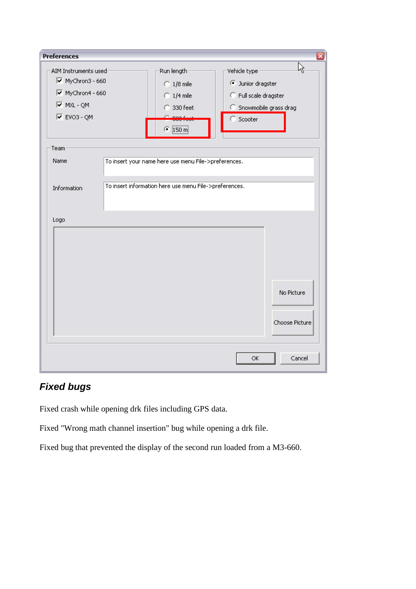| <b>Preferences</b>                                              |  |                                                                                                                 |                                             | ⊠                            |  |
|-----------------------------------------------------------------|--|-----------------------------------------------------------------------------------------------------------------|---------------------------------------------|------------------------------|--|
| AIM Instruments used<br>MyChron3 - 660<br>MyChron4 - 660        |  | Run length:<br>$\bigcirc$ 1/8 mile                                                                              | Ŗ<br>Vehicle type<br><b>Dunior dragster</b> |                              |  |
| $\overline{M}$ MXL - QM<br>$\overline{\triangledown}$ EVO3 - QM |  | $\bigcirc$ 1/4 mile<br>C Full scale dragster<br>C 330 feet<br>C Snowmobile grass drag<br>Scooter<br>$C$ [150 m] |                                             |                              |  |
| Team<br>Name<br>Information                                     |  | To insert your name here use menu File->preferences.<br>To insert information here use menu File->preferences.  |                                             |                              |  |
| Logo                                                            |  |                                                                                                                 |                                             |                              |  |
|                                                                 |  |                                                                                                                 |                                             | No Picture<br>Choose Picture |  |
|                                                                 |  |                                                                                                                 | ΟK.                                         | Cancel                       |  |

### *Fixed bugs*

Fixed crash while opening drk files including GPS data.

Fixed "Wrong math channel insertion" bug while opening a drk file.

Fixed bug that prevented the display of the second run loaded from a M3-660.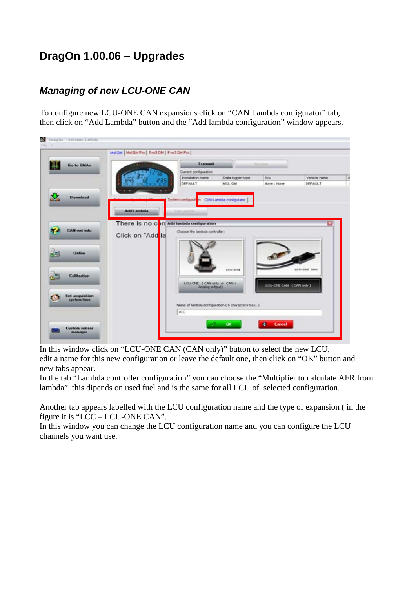## **DragOn 1.00.06 – Upgrades**

### *Managing of new LCU-ONE CAN*

To configure new LCU-ONE CAN expansions click on "CAN Lambds configurator" tab, then click on "Add Lambda" button and the "Add lambda configuration" window appears.

|                                             | Malger   MalgM Pro   Exo3 GM   Evo3 GM Pro                    |                                              |                                                    |                        |              |
|---------------------------------------------|---------------------------------------------------------------|----------------------------------------------|----------------------------------------------------|------------------------|--------------|
| щ<br><b>Go to GMAn</b>                      |                                                               | Transmit                                     |                                                    | liaca                  |              |
|                                             |                                                               | Current configuration                        |                                                    |                        |              |
|                                             |                                                               | Installation name                            | Debs logger type                                   | Ecu                    | Vehicle name |
|                                             |                                                               | <b>DEFAULT</b>                               | MXL GM                                             | None - None            | DEFAULT      |
| 본<br><b>Demnioad</b>                        |                                                               | System configuration CAN-Lambda configurator |                                                    |                        |              |
|                                             | Add Lambda                                                    |                                              |                                                    |                        |              |
| <b>CAN net info</b>                         | There is no con Addition be configuration<br>Click on "Add la | Choose the lambda controller:                |                                                    |                        |              |
|                                             |                                                               |                                              |                                                    |                        |              |
| <b>Online</b>                               |                                                               |                                              |                                                    |                        |              |
| <b>Calibration</b>                          |                                                               | LCU CNE (CAN only or CAN 1)                  | LOU-OWE                                            | LOJ-ONE CAN (CAN only) | LOU-ONE OAN  |
| <b>Set acquisition</b><br>aystem time<br>œ. |                                                               | Analog output)                               | Name of lambda configuration ( 6 characters max. ) |                        |              |

In this window click on "LCU-ONE CAN (CAN only)" button to select the new LCU, edit a name for this new configuration or leave the default one, then click on "OK" button and new tabs appear.

In the tab "Lambda controller configuration" you can choose the "Multiplier to calculate AFR from lambda", this dipends on used fuel and is the same for all LCU of selected configuration.

Another tab appears labelled with the LCU configuration name and the type of expansion ( in the figure it is "LCC – LCU-ONE CAN".

In this window you can change the LCU configuration name and you can configure the LCU channels you want use.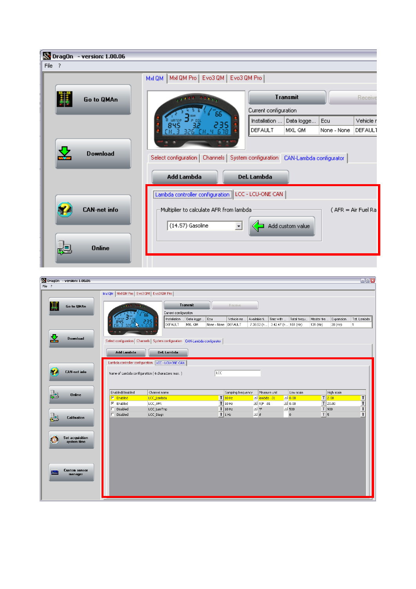| DragOn - version: 1.00.06                             |                                                                                  |                                                 |                                         |
|-------------------------------------------------------|----------------------------------------------------------------------------------|-------------------------------------------------|-----------------------------------------|
| File ?                                                |                                                                                  |                                                 |                                         |
|                                                       | Mxl QM Pro   Evo3 QM   Evo3 QM Pro  <br>MxI QM                                   |                                                 |                                         |
| Go to QMAn                                            |                                                                                  | <b>Transmit</b>                                 | Receive                                 |
|                                                       |                                                                                  | Current configuration                           |                                         |
|                                                       |                                                                                  | Installation<br>Data logge                      | Vehicle r<br>Ecu                        |
|                                                       |                                                                                  | DEFAULT<br>MXL QM                               | <b>DEFAULT</b><br>None - None           |
|                                                       |                                                                                  |                                                 |                                         |
| <b>Download</b>                                       |                                                                                  |                                                 |                                         |
|                                                       | Select configuration   Channels   System configuration   CAN-Lambda configurator |                                                 |                                         |
|                                                       |                                                                                  |                                                 |                                         |
|                                                       | <b>Add Lambda</b>                                                                | Del. Lambda                                     |                                         |
|                                                       | [Lambda controller configuration] LCC - LCU-ONE CAN                              |                                                 |                                         |
|                                                       |                                                                                  |                                                 |                                         |
| <b>CAN-net info</b>                                   | Multiplier to calculate AFR from lambda                                          |                                                 | $(AFR = Air Fuel Ra$                    |
|                                                       |                                                                                  |                                                 |                                         |
|                                                       | $(14.57)$ Gasoline                                                               | Add custom value                                |                                         |
|                                                       |                                                                                  |                                                 |                                         |
| <b>Online</b>                                         |                                                                                  |                                                 |                                         |
|                                                       |                                                                                  |                                                 |                                         |
|                                                       |                                                                                  |                                                 |                                         |
| DragOn - version: 1.00.06                             |                                                                                  |                                                 | $\square\square X$                      |
| File ?<br>MxI QM   MxI QM Pro   Evo3 QM   Evo3 QM Pro |                                                                                  |                                                 |                                         |
|                                                       |                                                                                  |                                                 |                                         |
| Go to QMAn                                            | <b>Transmit</b><br>Receive<br>Current configuration                              |                                                 |                                         |
|                                                       | Installation<br>Data logge<br>Ecu<br>Vehicle na.                                 | Available ti.<br>Time with<br>Total frequ       | Master fre.<br>Expansion<br>Tot. Lambda |
|                                                       | DEFAULT<br>MXL QM<br>None - None DEFAULT                                         | 7.38.52 (h<br>3.42.47 (h., 151 (Hz)<br>131 (Hz) | 20 (Hz)<br>1                            |

| Channel name<br>Enabled/disabled<br>Sampling frequency<br>Measure unit<br>Low scale<br><b>Online</b><br>œ<br>$T$ 10Hz<br>$\Box$ 0.00<br>$\mathbb{E}$ lambda .01<br><b>E</b> Enabled<br>LCC_Lambda<br>$T$ 10 Hz<br>$\Box$ 0.00<br>$\nabla$ Enabled<br>$\Box$ A/F .01<br>LCC_AFR<br>$T$ 10 Hz<br>$ \circ$ F<br>Л<br>$-1500$<br>Disabled<br>LCC_LamTmp<br>$T$ 1 Hz<br>$-$ #<br>Disabled<br>LCC_Diagn<br>$\bf{0}$<br>г<br>Calibration | High scale<br>$T$ 2.00                                      |
|-----------------------------------------------------------------------------------------------------------------------------------------------------------------------------------------------------------------------------------------------------------------------------------------------------------------------------------------------------------------------------------------------------------------------------------|-------------------------------------------------------------|
|                                                                                                                                                                                                                                                                                                                                                                                                                                   |                                                             |
|                                                                                                                                                                                                                                                                                                                                                                                                                                   |                                                             |
|                                                                                                                                                                                                                                                                                                                                                                                                                                   | $T$ 20.00                                                   |
|                                                                                                                                                                                                                                                                                                                                                                                                                                   | $T$  900                                                    |
|                                                                                                                                                                                                                                                                                                                                                                                                                                   | $\begin{array}{c}\nT \\ T \\ T\n\end{array}$<br>$T \vert 5$ |
| Set acquisition<br>system time<br><b>Custom sensor</b><br>너<br>manager                                                                                                                                                                                                                                                                                                                                                            |                                                             |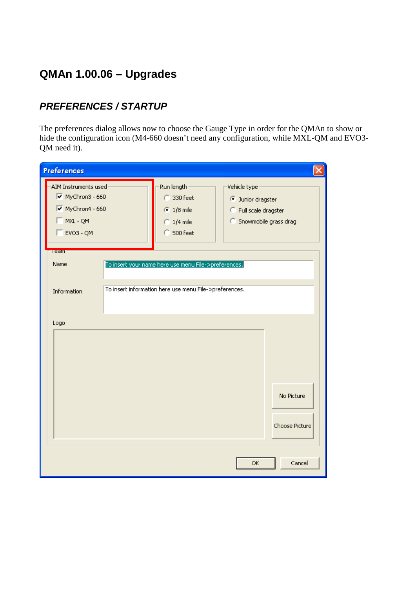# **QMAn 1.00.06 – Upgrades**

### *PREFERENCES / STARTUP*

The preferences dialog allows now to choose the Gauge Type in order for the QMAn to show or hide the configuration icon (M4-660 doesn't need any configuration, while MXL-QM and EVO3- QM need it).

| <b>Preferences</b>                                                                         |                                                                                                                |                                                                                            |
|--------------------------------------------------------------------------------------------|----------------------------------------------------------------------------------------------------------------|--------------------------------------------------------------------------------------------|
| AIM Instruments used<br>MyChron3 - 660<br>MyChron4 - 660<br>$MXL - QM$<br>$\Box$ EVO3 - QM | Run length:<br>C 330 feet<br>$\odot$ 1/8 mile<br>$\bigcirc$ 1/4 mile<br>$C$ 500 feet                           | Vehicle type<br><b>Dunior dragster</b><br>C Full scale dragster<br>C Snowmobile grass drag |
| <b>Team</b><br>Name<br>Information                                                         | To insert your name here use menu File->preferences.<br>To insert information here use menu File->preferences. |                                                                                            |
| Logo                                                                                       |                                                                                                                | No Picture<br>Choose Picture                                                               |
|                                                                                            |                                                                                                                | Cancel<br>ОК                                                                               |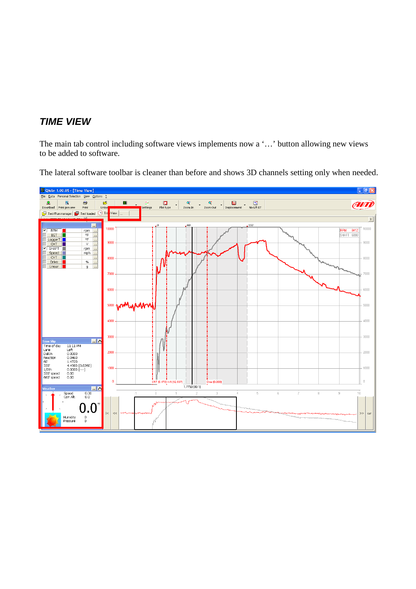### *TIME VIEW*

The main tab control including software views implements now a '…' button allowing new views to be added to software.

The lateral software toolbar is cleaner than before and shows 3D channels setting only when needed.

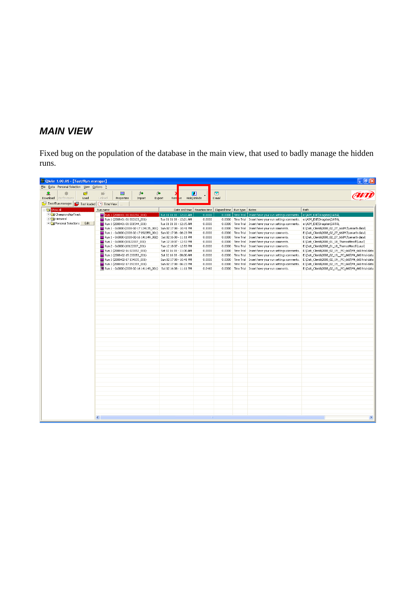### *MAIN VIEW*

Fixed bug on the population of the database in the main view, that used to badly manage the hidden runs.

| 8 QMAn 1.00.05 - [Test/Run manager]               |                                                                   |                                                                 |                  |                  |                                 |                                                                           | $\Box$ e $\boxtimes$                                                                                       |
|---------------------------------------------------|-------------------------------------------------------------------|-----------------------------------------------------------------|------------------|------------------|---------------------------------|---------------------------------------------------------------------------|------------------------------------------------------------------------------------------------------------|
| File Data Personal Selection View Options ?       |                                                                   |                                                                 |                  |                  |                                 |                                                                           |                                                                                                            |
| $\Delta$<br>œ,<br>Download<br>Preferences<br>Load | $\theta$<br>$\theta$<br>目<br>шS<br>Unload<br>Properties<br>Import | ve Hide/Unhide<br>Export<br>Rem                                 | П                | ◙<br>E-mail      |                                 |                                                                           |                                                                                                            |
| Test/Run manager   Test loaded   (-) Time View    |                                                                   |                                                                 |                  |                  |                                 |                                                                           |                                                                                                            |
| Elev Show all                                     | Run name                                                          | Date and time   Reaction time   Elapsed time   Run type   Notes |                  |                  |                                 |                                                                           | Path                                                                                                       |
| + Championship/Track                              | Run 1 (2008-01-01 002256 001)                                     | Tue 01 01 08 - 12:22 AM                                         | 0.0000           |                  | $0.0000$ Time Trial             | Insert here your run settings comments.                                   | e:\AIM_EXE\Dragster\DATA\                                                                                  |
| + Historical                                      | Run 1 (2008-01-01 002123_001)                                     | Tue 01 01 08 - 12:21 AM                                         | 0.0000           |                  | 0.0000 Time Trial               | Insert here your run settings comments.                                   | e:\AIM_EXE\Dragster\DATA\                                                                                  |
| + Personal Selections Edit                        | Run 1 (2008-01-01 001544_001)                                     | Tue 01 01 08 - 12:15 AM                                         | 0.0000           | 0.0000           | Time Trial                      | Insert here your run settings comments.                                   | e:\AIM_EXE\Dragster\DATA\                                                                                  |
|                                                   | Run 1 - 0.0000 (2008-02-17 134135_001)                            | Sun 02 17 08 - 10:41 PM                                         | 0.1180           | 0.0000           | Time Trial                      | Insert here your run comments.                                            | E:\Dati_Clienti\2008_02_27_660MJ\Lenarth data\                                                             |
|                                                   | Run 1 - 0.0000 (2008-02-17 092359_001)                            | Sun 02 17 08 - 06:23 PM                                         | 0.0000           | 0.0000           | <b>Time Trial</b>               | Insert here your run comments.                                            | E:\Dati_Clienti\2008_02_27_660MJ\Lenarth data\                                                             |
|                                                   | Run 1 - 0.0000 (2008-02-16 141149 002)                            | Sat 02 16 08 - 11:11 PM                                         | 0.0000           | 0.0000           | <b>Time Trial</b>               | Insert here your run comments.                                            | E:\Dati_Clienti\2008_02_27_660MJ\Lenarth data\                                                             |
|                                                   | Run 1 - 0.0000 (18122007_001)                                     | Tue 12 18 07 - 12:53 PM                                         | 0.0000           | 0.0000           | <b>Time Trial</b>               | Insert here your run comments.                                            | E:\Dati_Clienti\2008_01_18_ThomasMesch\Laux\                                                               |
|                                                   | Run 2 - 0.0000 (18122007_001)<br>Run 1 (2008-02-16 023052_001)    | Tue 12 18 07 - 12:53 PM<br>Sat 02 16 08 - 11:30 AM              | 0.0000<br>0.0000 | 0.0000<br>0.0000 | Time Trial<br><b>Time Trial</b> | Insert here your run comments.<br>Insert here your run settings comments. | E:\Dati_Clienti\2008_01_18_ThomasMesch\Laux\                                                               |
|                                                   | Run 1 (2008-02-15 233053_001)                                     | Sat 02 16 08 - 08:30 AM                                         | 0.0000           | 0.0000           | Time Trial                      | Insert here your run settings comments.                                   | E:\Dati_Clienti\2008_02_19_MJ_660\M4_660 trial data<br>E:\Dati_Clienti\2008_02_19_MJ_660\M4_660 trial data |
|                                                   | Run 1 (2008-02-17 134135_001)                                     | Sun 02 17 08 - 10:41 PM                                         | 0.0000           | 0.0000           | <b>Time Trial</b>               | Insert here your run settings comments.                                   | E:\Dati_Clienti\2008_02_19_MJ_660\M4_660 trial data                                                        |
|                                                   | Run 1 (2008-02-17 092359_001)                                     | Sun 02 17 08 - 06:23 PM                                         | 0.0000           | 0.0000           | Time Trial                      | Insert here your run settings comments.                                   | E:\Dati_Clienti\2008_02_19_MJ_660\M4_660 trial data                                                        |
|                                                   | Run 1 - 0.0000 (2008-02-16 141149_001)                            | Sat 02 16 08 - 11:11 PM                                         | 0.0460           | 0.0000           | <b>Time Trial</b>               | Insert here your run comments.                                            | E:\Dati_Clienti\2008_02_19 _MJ_660\M4_660 trial data                                                       |
|                                                   |                                                                   |                                                                 |                  |                  |                                 |                                                                           |                                                                                                            |
|                                                   |                                                                   |                                                                 |                  |                  |                                 |                                                                           |                                                                                                            |
|                                                   |                                                                   |                                                                 |                  |                  |                                 |                                                                           |                                                                                                            |
|                                                   |                                                                   |                                                                 |                  |                  |                                 |                                                                           |                                                                                                            |
|                                                   |                                                                   |                                                                 |                  |                  |                                 |                                                                           |                                                                                                            |
|                                                   |                                                                   |                                                                 |                  |                  |                                 |                                                                           |                                                                                                            |
|                                                   |                                                                   |                                                                 |                  |                  |                                 |                                                                           |                                                                                                            |
|                                                   |                                                                   |                                                                 |                  |                  |                                 |                                                                           |                                                                                                            |
|                                                   |                                                                   |                                                                 |                  |                  |                                 |                                                                           |                                                                                                            |
|                                                   |                                                                   |                                                                 |                  |                  |                                 |                                                                           |                                                                                                            |
|                                                   |                                                                   |                                                                 |                  |                  |                                 |                                                                           |                                                                                                            |
|                                                   |                                                                   |                                                                 |                  |                  |                                 |                                                                           |                                                                                                            |
|                                                   |                                                                   |                                                                 |                  |                  |                                 |                                                                           |                                                                                                            |
|                                                   |                                                                   |                                                                 |                  |                  |                                 |                                                                           |                                                                                                            |
|                                                   |                                                                   |                                                                 |                  |                  |                                 |                                                                           |                                                                                                            |
|                                                   |                                                                   |                                                                 |                  |                  |                                 |                                                                           |                                                                                                            |
|                                                   |                                                                   |                                                                 |                  |                  |                                 |                                                                           |                                                                                                            |
|                                                   |                                                                   |                                                                 |                  |                  |                                 |                                                                           |                                                                                                            |
|                                                   |                                                                   |                                                                 |                  |                  |                                 |                                                                           |                                                                                                            |
|                                                   |                                                                   |                                                                 |                  |                  |                                 |                                                                           |                                                                                                            |
|                                                   |                                                                   |                                                                 |                  |                  |                                 |                                                                           |                                                                                                            |
|                                                   |                                                                   |                                                                 |                  |                  |                                 |                                                                           |                                                                                                            |
|                                                   |                                                                   |                                                                 |                  |                  |                                 |                                                                           |                                                                                                            |
|                                                   |                                                                   |                                                                 |                  |                  |                                 |                                                                           |                                                                                                            |
|                                                   |                                                                   |                                                                 |                  |                  |                                 |                                                                           |                                                                                                            |
|                                                   |                                                                   |                                                                 |                  |                  |                                 |                                                                           |                                                                                                            |
|                                                   |                                                                   |                                                                 |                  |                  |                                 |                                                                           |                                                                                                            |
|                                                   |                                                                   |                                                                 |                  |                  |                                 |                                                                           |                                                                                                            |
|                                                   |                                                                   |                                                                 |                  |                  |                                 |                                                                           |                                                                                                            |
|                                                   |                                                                   |                                                                 |                  |                  |                                 |                                                                           |                                                                                                            |
|                                                   | ∢                                                                 |                                                                 |                  |                  |                                 |                                                                           | $\rightarrow$                                                                                              |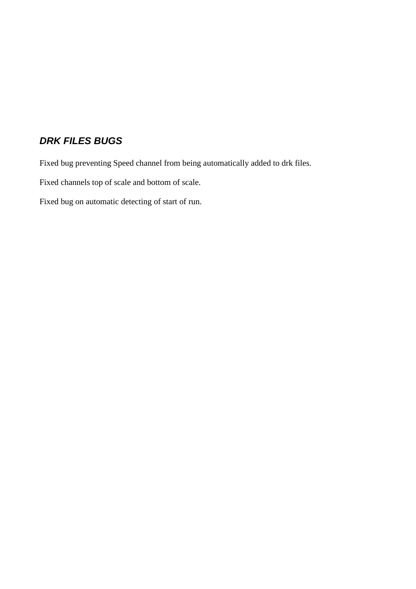#### *DRK FILES BUGS*

Fixed bug preventing Speed channel from being automatically added to drk files.

Fixed channels top of scale and bottom of scale.

Fixed bug on automatic detecting of start of run.